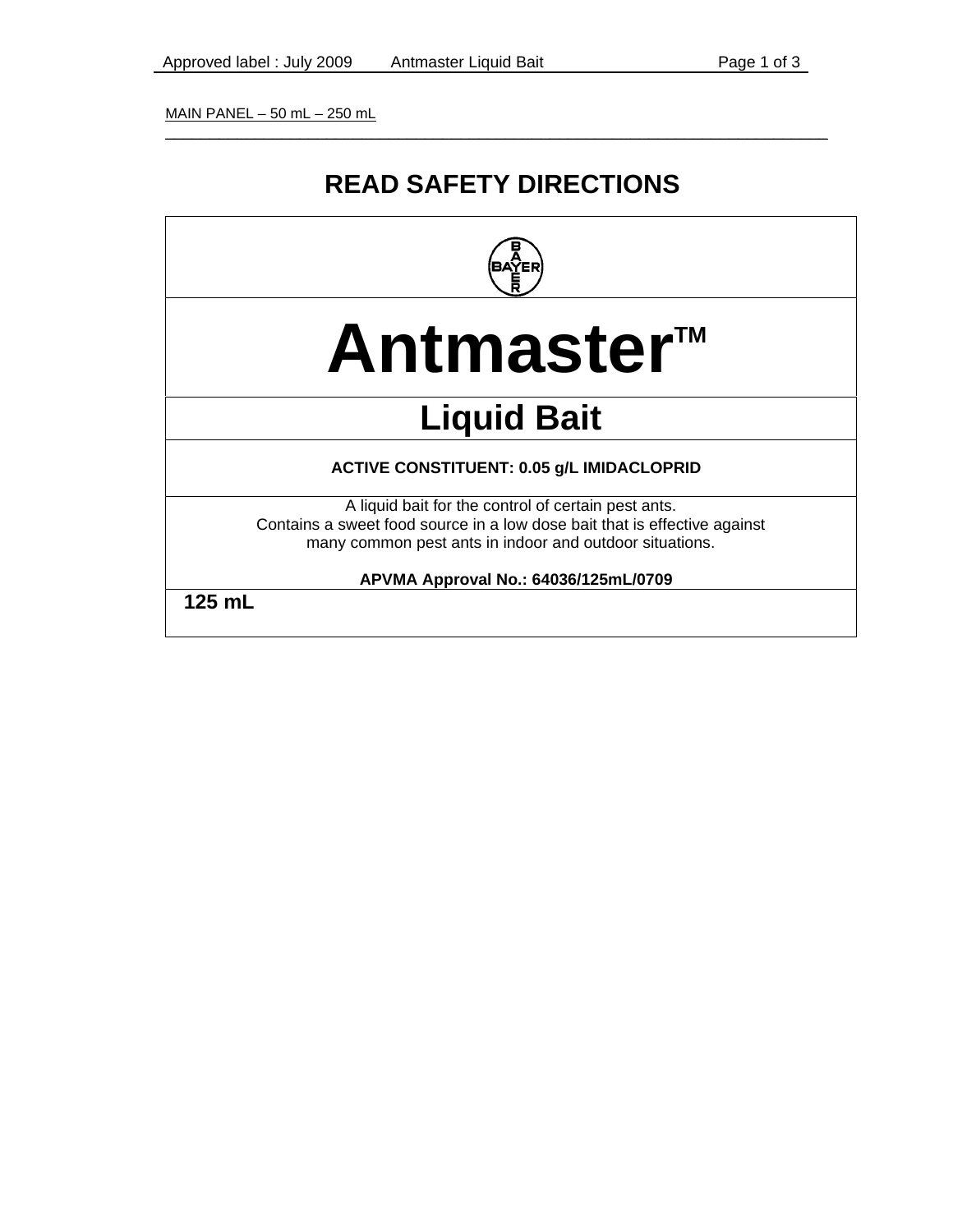MAIN PANEL – 50 mL – 250 mL

### **READ SAFETY DIRECTIONS**

\_\_\_\_\_\_\_\_\_\_\_\_\_\_\_\_\_\_\_\_\_\_\_\_\_\_\_\_\_\_\_\_\_\_\_\_\_\_\_\_\_\_\_\_\_\_\_\_\_\_\_\_\_\_\_\_\_\_\_\_\_\_\_\_\_\_\_\_\_\_\_\_\_\_



# **Antmaster™**

## **Liquid Bait**

#### **ACTIVE CONSTITUENT: 0.05 g/L IMIDACLOPRID**

A liquid bait for the control of certain pest ants. Contains a sweet food source in a low dose bait that is effective against many common pest ants in indoor and outdoor situations.

**APVMA Approval No.: 64036/125mL/0709** 

**125 mL**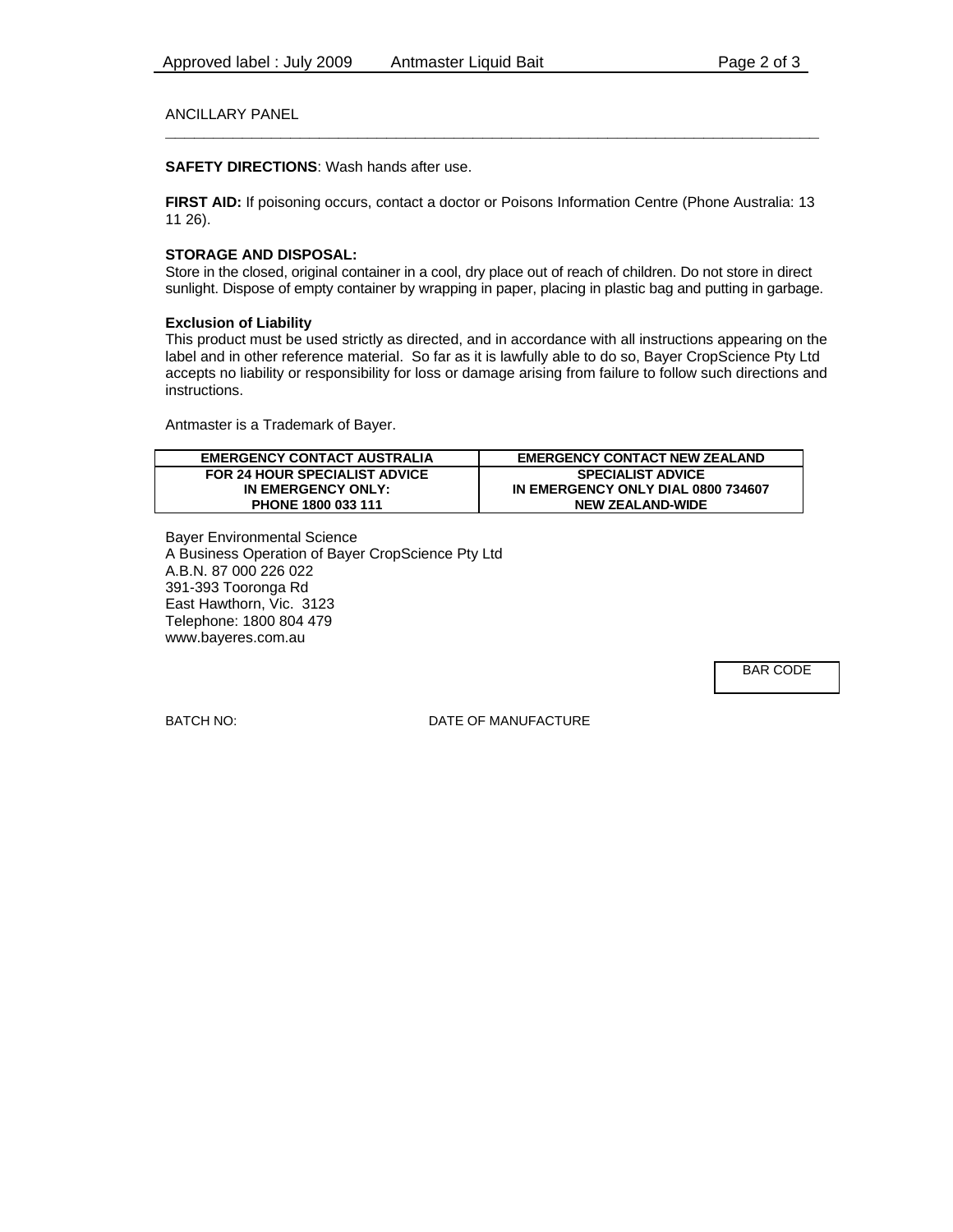#### ANCILLARY PANEL **\_\_\_\_\_\_\_\_\_\_\_\_\_\_\_\_\_\_\_\_\_\_\_\_\_\_\_\_\_\_\_\_\_\_\_\_\_\_\_\_\_\_\_\_\_\_\_\_\_\_\_\_\_\_\_\_\_\_\_\_\_\_\_\_\_\_\_\_**

#### **SAFETY DIRECTIONS**: Wash hands after use.

**FIRST AID:** If poisoning occurs, contact a doctor or Poisons Information Centre (Phone Australia: 13 11 26).

#### **STORAGE AND DISPOSAL:**

Store in the closed, original container in a cool, dry place out of reach of children. Do not store in direct sunlight. Dispose of empty container by wrapping in paper, placing in plastic bag and putting in garbage.

#### **Exclusion of Liability**

This product must be used strictly as directed, and in accordance with all instructions appearing on the label and in other reference material. So far as it is lawfully able to do so, Bayer CropScience Pty Ltd accepts no liability or responsibility for loss or damage arising from failure to follow such directions and instructions.

Antmaster is a Trademark of Bayer.

| <b>EMERGENCY CONTACT AUSTRALIA</b>   | <b>EMERGENCY CONTACT NEW ZEALAND</b> |
|--------------------------------------|--------------------------------------|
| <b>FOR 24 HOUR SPECIALIST ADVICE</b> | <b>SPECIALIST ADVICE</b>             |
| IN EMERGENCY ONLY:                   | IN EMERGENCY ONLY DIAL 0800 734607   |
| PHONE 1800 033 111                   | <b>NEW ZEALAND-WIDE</b>              |

Bayer Environmental Science A Business Operation of Bayer CropScience Pty Ltd A.B.N. 87 000 226 022 391-393 Tooronga Rd East Hawthorn, Vic. 3123 Telephone: 1800 804 479 www.bayeres.com.au

BAR CODE

BATCH NO: DATE OF MANUFACTURE